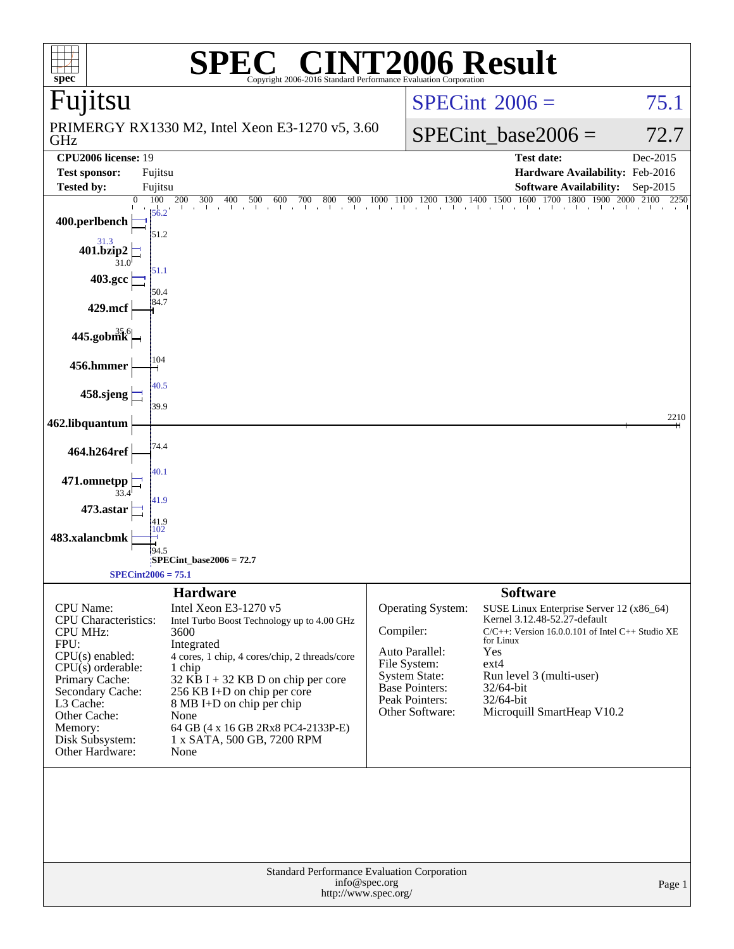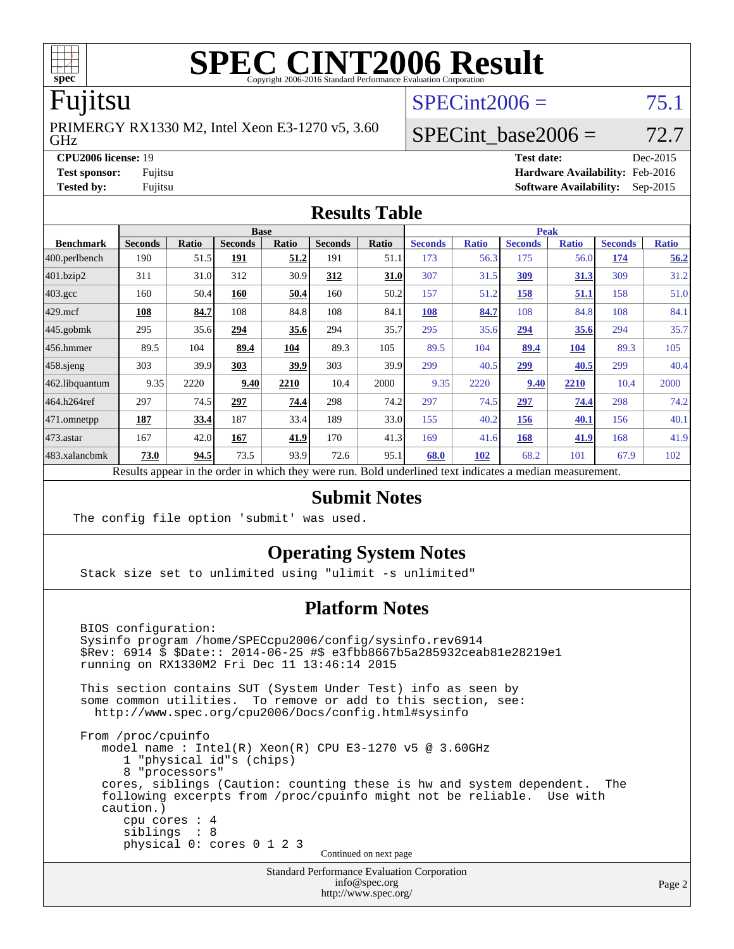

# Fujitsu

GHz PRIMERGY RX1330 M2, Intel Xeon E3-1270 v5, 3.60  $SPECint2006 = 75.1$  $SPECint2006 = 75.1$ 

SPECint base2006 =  $72.7$ **[CPU2006 license:](http://www.spec.org/auto/cpu2006/Docs/result-fields.html#CPU2006license)** 19 **[Test date:](http://www.spec.org/auto/cpu2006/Docs/result-fields.html#Testdate)** Dec-2015

**[Test sponsor:](http://www.spec.org/auto/cpu2006/Docs/result-fields.html#Testsponsor)** Fujitsu **[Hardware Availability:](http://www.spec.org/auto/cpu2006/Docs/result-fields.html#HardwareAvailability)** Feb-2016 **[Tested by:](http://www.spec.org/auto/cpu2006/Docs/result-fields.html#Testedby)** Fujitsu **[Software Availability:](http://www.spec.org/auto/cpu2006/Docs/result-fields.html#SoftwareAvailability)** Sep-2015

#### **[Results Table](http://www.spec.org/auto/cpu2006/Docs/result-fields.html#ResultsTable)**

|                                                                                                          | <b>Base</b>    |              |                |             |                |       | <b>Peak</b>    |              |                |              |                |              |
|----------------------------------------------------------------------------------------------------------|----------------|--------------|----------------|-------------|----------------|-------|----------------|--------------|----------------|--------------|----------------|--------------|
| <b>Benchmark</b>                                                                                         | <b>Seconds</b> | <b>Ratio</b> | <b>Seconds</b> | Ratio       | <b>Seconds</b> | Ratio | <b>Seconds</b> | <b>Ratio</b> | <b>Seconds</b> | <b>Ratio</b> | <b>Seconds</b> | <b>Ratio</b> |
| 400.perlbench                                                                                            | 190            | 51.5         | 191            | <u>51.2</u> | 191            | 51.1  | 173            | 56.3         | 175            | 56.0         | 174            | 56.2         |
| 401.bzip2                                                                                                | 311            | 31.0         | 312            | 30.9        | 312            | 31.0  | 307            | 31.5         | <u>309</u>     | 31.3         | 309            | 31.2         |
| $403.\text{gcc}$                                                                                         | 160            | 50.4         | 160            | 50.4        | 160            | 50.2  | 157            | 51.2         | 158            | 51.1         | 158            | 51.0         |
| $429$ .mcf                                                                                               | 108            | 84.7         | 108            | 84.8        | 108            | 84.1  | <b>108</b>     | 84.7         | 108            | 84.8         | 108            | 84.1         |
| $ 445.\text{gobmk} $                                                                                     | 295            | 35.6         | 294            | 35.6        | 294            | 35.7  | 295            | 35.6         | 294            | 35.6         | 294            | 35.7         |
| $456.$ hmmer                                                                                             | 89.5           | 104          | 89.4           | 104         | 89.3           | 105   | 89.5           | 104          | 89.4           | 104          | 89.3           | 105          |
| $458$ .sjeng                                                                                             | 303            | 39.9         | 303            | 39.9        | 303            | 39.9  | 299            | 40.5         | 299            | 40.5         | 299            | 40.4         |
| 462.libquantum                                                                                           | 9.35           | 2220         | 9.40           | 2210        | 10.4           | 2000  | 9.35           | 2220         | 9.40           | 2210         | 10.4           | 2000         |
| 464.h264ref                                                                                              | 297            | 74.5         | 297            | 74.4        | 298            | 74.2  | 297            | 74.5         | 297            | 74.4         | 298            | 74.2         |
| 471.omnetpp                                                                                              | 187            | 33.4         | 187            | 33.4        | 189            | 33.0  | 155            | 40.2         | 156            | 40.1         | 156            | 40.1         |
| $473$ . astar                                                                                            | 167            | 42.0         | 167            | 41.9        | 170            | 41.3  | 169            | 41.6         | 168            | 41.9         | 168            | 41.9         |
| 483.xalancbmk                                                                                            | 73.0           | 94.5         | 73.5           | 93.9        | 72.6           | 95.1  | 68.0           | 102          | 68.2           | 101          | 67.9           | 102          |
| Results appear in the order in which they were run. Bold underlined text indicates a median measurement. |                |              |                |             |                |       |                |              |                |              |                |              |

### **[Submit Notes](http://www.spec.org/auto/cpu2006/Docs/result-fields.html#SubmitNotes)**

The config file option 'submit' was used.

### **[Operating System Notes](http://www.spec.org/auto/cpu2006/Docs/result-fields.html#OperatingSystemNotes)**

Stack size set to unlimited using "ulimit -s unlimited"

### **[Platform Notes](http://www.spec.org/auto/cpu2006/Docs/result-fields.html#PlatformNotes)**

 BIOS configuration: Sysinfo program /home/SPECcpu2006/config/sysinfo.rev6914 \$Rev: 6914 \$ \$Date:: 2014-06-25 #\$ e3fbb8667b5a285932ceab81e28219e1 running on RX1330M2 Fri Dec 11 13:46:14 2015 This section contains SUT (System Under Test) info as seen by some common utilities. To remove or add to this section, see: <http://www.spec.org/cpu2006/Docs/config.html#sysinfo> From /proc/cpuinfo model name : Intel(R) Xeon(R) CPU E3-1270 v5 @ 3.60GHz 1 "physical id"s (chips) 8 "processors" cores, siblings (Caution: counting these is hw and system dependent. The following excerpts from /proc/cpuinfo might not be reliable. Use with caution.) cpu cores : 4 siblings : 8 physical 0: cores 0 1 2 3

Continued on next page

Standard Performance Evaluation Corporation [info@spec.org](mailto:info@spec.org) <http://www.spec.org/>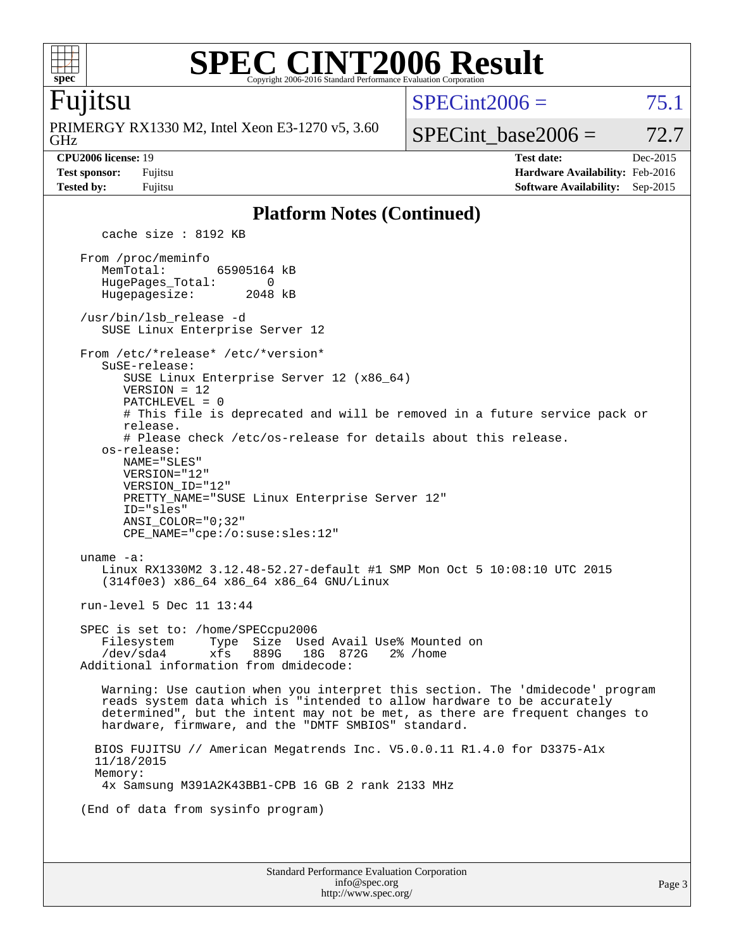

### **[SPEC CINT2006 Result](http://www.spec.org/auto/cpu2006/Docs/result-fields.html#SPECCINT2006Result)** Copyright 2006-2016 Standard Performance Evaluation Corporation

### Fujitsu

GHz PRIMERGY RX1330 M2, Intel Xeon E3-1270 v5, 3.60  $SPECint2006 = 75.1$  $SPECint2006 = 75.1$ 

SPECint base2006 =  $72.7$ 

**[CPU2006 license:](http://www.spec.org/auto/cpu2006/Docs/result-fields.html#CPU2006license)** 19 **[Test date:](http://www.spec.org/auto/cpu2006/Docs/result-fields.html#Testdate)** Dec-2015 **[Test sponsor:](http://www.spec.org/auto/cpu2006/Docs/result-fields.html#Testsponsor)** Fujitsu **[Hardware Availability:](http://www.spec.org/auto/cpu2006/Docs/result-fields.html#HardwareAvailability)** Feb-2016 **[Tested by:](http://www.spec.org/auto/cpu2006/Docs/result-fields.html#Testedby)** Fujitsu **[Software Availability:](http://www.spec.org/auto/cpu2006/Docs/result-fields.html#SoftwareAvailability)** Sep-2015

#### **[Platform Notes \(Continued\)](http://www.spec.org/auto/cpu2006/Docs/result-fields.html#PlatformNotes)**

Standard Performance Evaluation Corporation [info@spec.org](mailto:info@spec.org) cache size : 8192 KB From /proc/meminfo MemTotal: 65905164 kB HugePages\_Total: 0<br>Hugepagesize: 2048 kB Hugepagesize: /usr/bin/lsb\_release -d SUSE Linux Enterprise Server 12 From /etc/\*release\* /etc/\*version\* SuSE-release: SUSE Linux Enterprise Server 12 (x86\_64) VERSION = 12 PATCHLEVEL = 0 # This file is deprecated and will be removed in a future service pack or release. # Please check /etc/os-release for details about this release. os-release: NAME="SLES" VERSION="12" VERSION\_ID="12" PRETTY\_NAME="SUSE Linux Enterprise Server 12" ID="sles" ANSI\_COLOR="0;32" CPE\_NAME="cpe:/o:suse:sles:12" uname -a: Linux RX1330M2 3.12.48-52.27-default #1 SMP Mon Oct 5 10:08:10 UTC 2015 (314f0e3) x86\_64 x86\_64 x86\_64 GNU/Linux run-level 5 Dec 11 13:44 SPEC is set to: /home/SPECcpu2006 Filesystem Type Size Used Avail Use% Mounted on /dev/sda4 xfs 889G 18G 872G 2% /home Additional information from dmidecode: Warning: Use caution when you interpret this section. The 'dmidecode' program reads system data which is "intended to allow hardware to be accurately determined", but the intent may not be met, as there are frequent changes to hardware, firmware, and the "DMTF SMBIOS" standard. BIOS FUJITSU // American Megatrends Inc. V5.0.0.11 R1.4.0 for D3375-A1x 11/18/2015 Memory: 4x Samsung M391A2K43BB1-CPB 16 GB 2 rank 2133 MHz (End of data from sysinfo program)

<http://www.spec.org/>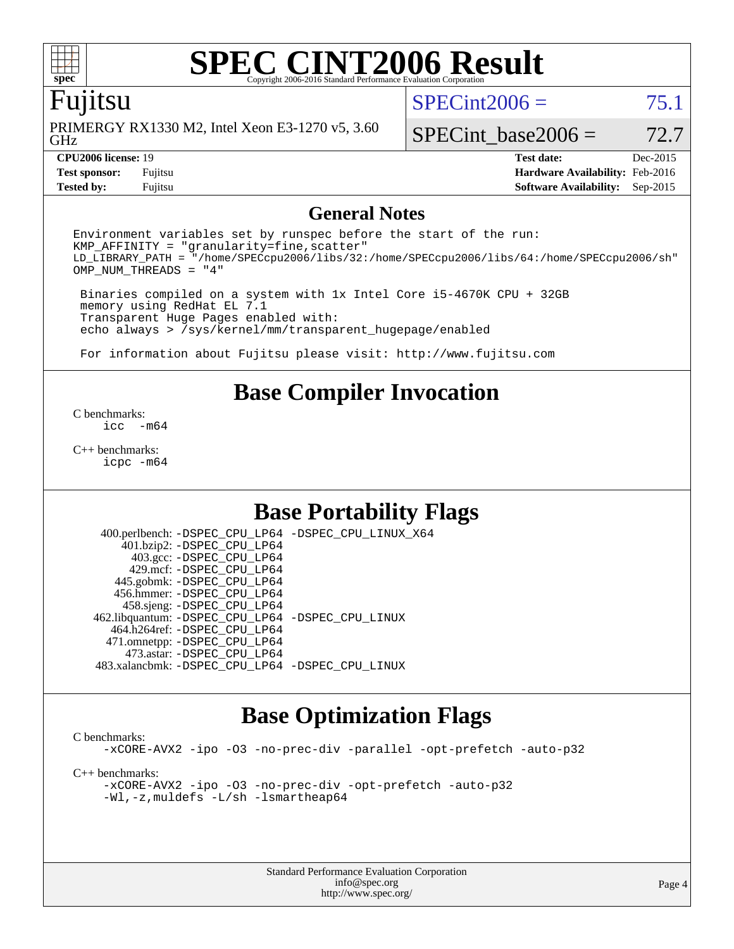### Fujitsu

GHz PRIMERGY RX1330 M2, Intel Xeon E3-1270 v5, 3.60  $SPECint2006 = 75.1$  $SPECint2006 = 75.1$ 

SPECint base2006 =  $72.7$ 

**[Tested by:](http://www.spec.org/auto/cpu2006/Docs/result-fields.html#Testedby)** Fujitsu **[Software Availability:](http://www.spec.org/auto/cpu2006/Docs/result-fields.html#SoftwareAvailability)** Sep-2015

**[CPU2006 license:](http://www.spec.org/auto/cpu2006/Docs/result-fields.html#CPU2006license)** 19 **[Test date:](http://www.spec.org/auto/cpu2006/Docs/result-fields.html#Testdate)** Dec-2015 **[Test sponsor:](http://www.spec.org/auto/cpu2006/Docs/result-fields.html#Testsponsor)** Fujitsu **[Hardware Availability:](http://www.spec.org/auto/cpu2006/Docs/result-fields.html#HardwareAvailability)** Feb-2016

#### **[General Notes](http://www.spec.org/auto/cpu2006/Docs/result-fields.html#GeneralNotes)**

Environment variables set by runspec before the start of the run:  $KMP$  AFFINITY = "granularity=fine, scatter" LD\_LIBRARY\_PATH = "/home/SPECcpu2006/libs/32:/home/SPECcpu2006/libs/64:/home/SPECcpu2006/sh" OMP\_NUM\_THREADS = "4"

 Binaries compiled on a system with 1x Intel Core i5-4670K CPU + 32GB memory using RedHat EL 7.1 Transparent Huge Pages enabled with: echo always > /sys/kernel/mm/transparent\_hugepage/enabled

For information about Fujitsu please visit: <http://www.fujitsu.com>

# **[Base Compiler Invocation](http://www.spec.org/auto/cpu2006/Docs/result-fields.html#BaseCompilerInvocation)**

[C benchmarks](http://www.spec.org/auto/cpu2006/Docs/result-fields.html#Cbenchmarks):  $inc - m64$ 

[C++ benchmarks:](http://www.spec.org/auto/cpu2006/Docs/result-fields.html#CXXbenchmarks) [icpc -m64](http://www.spec.org/cpu2006/results/res2016q1/cpu2006-20160111-38680.flags.html#user_CXXbase_intel_icpc_64bit_fc66a5337ce925472a5c54ad6a0de310)

# **[Base Portability Flags](http://www.spec.org/auto/cpu2006/Docs/result-fields.html#BasePortabilityFlags)**

 400.perlbench: [-DSPEC\\_CPU\\_LP64](http://www.spec.org/cpu2006/results/res2016q1/cpu2006-20160111-38680.flags.html#b400.perlbench_basePORTABILITY_DSPEC_CPU_LP64) [-DSPEC\\_CPU\\_LINUX\\_X64](http://www.spec.org/cpu2006/results/res2016q1/cpu2006-20160111-38680.flags.html#b400.perlbench_baseCPORTABILITY_DSPEC_CPU_LINUX_X64) 401.bzip2: [-DSPEC\\_CPU\\_LP64](http://www.spec.org/cpu2006/results/res2016q1/cpu2006-20160111-38680.flags.html#suite_basePORTABILITY401_bzip2_DSPEC_CPU_LP64) 403.gcc: [-DSPEC\\_CPU\\_LP64](http://www.spec.org/cpu2006/results/res2016q1/cpu2006-20160111-38680.flags.html#suite_basePORTABILITY403_gcc_DSPEC_CPU_LP64) 429.mcf: [-DSPEC\\_CPU\\_LP64](http://www.spec.org/cpu2006/results/res2016q1/cpu2006-20160111-38680.flags.html#suite_basePORTABILITY429_mcf_DSPEC_CPU_LP64) 445.gobmk: [-DSPEC\\_CPU\\_LP64](http://www.spec.org/cpu2006/results/res2016q1/cpu2006-20160111-38680.flags.html#suite_basePORTABILITY445_gobmk_DSPEC_CPU_LP64) 456.hmmer: [-DSPEC\\_CPU\\_LP64](http://www.spec.org/cpu2006/results/res2016q1/cpu2006-20160111-38680.flags.html#suite_basePORTABILITY456_hmmer_DSPEC_CPU_LP64) 458.sjeng: [-DSPEC\\_CPU\\_LP64](http://www.spec.org/cpu2006/results/res2016q1/cpu2006-20160111-38680.flags.html#suite_basePORTABILITY458_sjeng_DSPEC_CPU_LP64) 462.libquantum: [-DSPEC\\_CPU\\_LP64](http://www.spec.org/cpu2006/results/res2016q1/cpu2006-20160111-38680.flags.html#suite_basePORTABILITY462_libquantum_DSPEC_CPU_LP64) [-DSPEC\\_CPU\\_LINUX](http://www.spec.org/cpu2006/results/res2016q1/cpu2006-20160111-38680.flags.html#b462.libquantum_baseCPORTABILITY_DSPEC_CPU_LINUX) 464.h264ref: [-DSPEC\\_CPU\\_LP64](http://www.spec.org/cpu2006/results/res2016q1/cpu2006-20160111-38680.flags.html#suite_basePORTABILITY464_h264ref_DSPEC_CPU_LP64) 471.omnetpp: [-DSPEC\\_CPU\\_LP64](http://www.spec.org/cpu2006/results/res2016q1/cpu2006-20160111-38680.flags.html#suite_basePORTABILITY471_omnetpp_DSPEC_CPU_LP64) 473.astar: [-DSPEC\\_CPU\\_LP64](http://www.spec.org/cpu2006/results/res2016q1/cpu2006-20160111-38680.flags.html#suite_basePORTABILITY473_astar_DSPEC_CPU_LP64) 483.xalancbmk: [-DSPEC\\_CPU\\_LP64](http://www.spec.org/cpu2006/results/res2016q1/cpu2006-20160111-38680.flags.html#suite_basePORTABILITY483_xalancbmk_DSPEC_CPU_LP64) [-DSPEC\\_CPU\\_LINUX](http://www.spec.org/cpu2006/results/res2016q1/cpu2006-20160111-38680.flags.html#b483.xalancbmk_baseCXXPORTABILITY_DSPEC_CPU_LINUX)

### **[Base Optimization Flags](http://www.spec.org/auto/cpu2006/Docs/result-fields.html#BaseOptimizationFlags)**

[C benchmarks](http://www.spec.org/auto/cpu2006/Docs/result-fields.html#Cbenchmarks): [-xCORE-AVX2](http://www.spec.org/cpu2006/results/res2016q1/cpu2006-20160111-38680.flags.html#user_CCbase_f-xAVX2_5f5fc0cbe2c9f62c816d3e45806c70d7) [-ipo](http://www.spec.org/cpu2006/results/res2016q1/cpu2006-20160111-38680.flags.html#user_CCbase_f-ipo) [-O3](http://www.spec.org/cpu2006/results/res2016q1/cpu2006-20160111-38680.flags.html#user_CCbase_f-O3) [-no-prec-div](http://www.spec.org/cpu2006/results/res2016q1/cpu2006-20160111-38680.flags.html#user_CCbase_f-no-prec-div) [-parallel](http://www.spec.org/cpu2006/results/res2016q1/cpu2006-20160111-38680.flags.html#user_CCbase_f-parallel) [-opt-prefetch](http://www.spec.org/cpu2006/results/res2016q1/cpu2006-20160111-38680.flags.html#user_CCbase_f-opt-prefetch) [-auto-p32](http://www.spec.org/cpu2006/results/res2016q1/cpu2006-20160111-38680.flags.html#user_CCbase_f-auto-p32) [C++ benchmarks:](http://www.spec.org/auto/cpu2006/Docs/result-fields.html#CXXbenchmarks) [-xCORE-AVX2](http://www.spec.org/cpu2006/results/res2016q1/cpu2006-20160111-38680.flags.html#user_CXXbase_f-xAVX2_5f5fc0cbe2c9f62c816d3e45806c70d7) [-ipo](http://www.spec.org/cpu2006/results/res2016q1/cpu2006-20160111-38680.flags.html#user_CXXbase_f-ipo) [-O3](http://www.spec.org/cpu2006/results/res2016q1/cpu2006-20160111-38680.flags.html#user_CXXbase_f-O3) [-no-prec-div](http://www.spec.org/cpu2006/results/res2016q1/cpu2006-20160111-38680.flags.html#user_CXXbase_f-no-prec-div) [-opt-prefetch](http://www.spec.org/cpu2006/results/res2016q1/cpu2006-20160111-38680.flags.html#user_CXXbase_f-opt-prefetch) [-auto-p32](http://www.spec.org/cpu2006/results/res2016q1/cpu2006-20160111-38680.flags.html#user_CXXbase_f-auto-p32) [-Wl,-z,muldefs](http://www.spec.org/cpu2006/results/res2016q1/cpu2006-20160111-38680.flags.html#user_CXXbase_link_force_multiple1_74079c344b956b9658436fd1b6dd3a8a) [-L/sh -lsmartheap64](http://www.spec.org/cpu2006/results/res2016q1/cpu2006-20160111-38680.flags.html#user_CXXbase_SmartHeap64_ed4ef857ce90951921efb0d91eb88472)

> Standard Performance Evaluation Corporation [info@spec.org](mailto:info@spec.org) <http://www.spec.org/>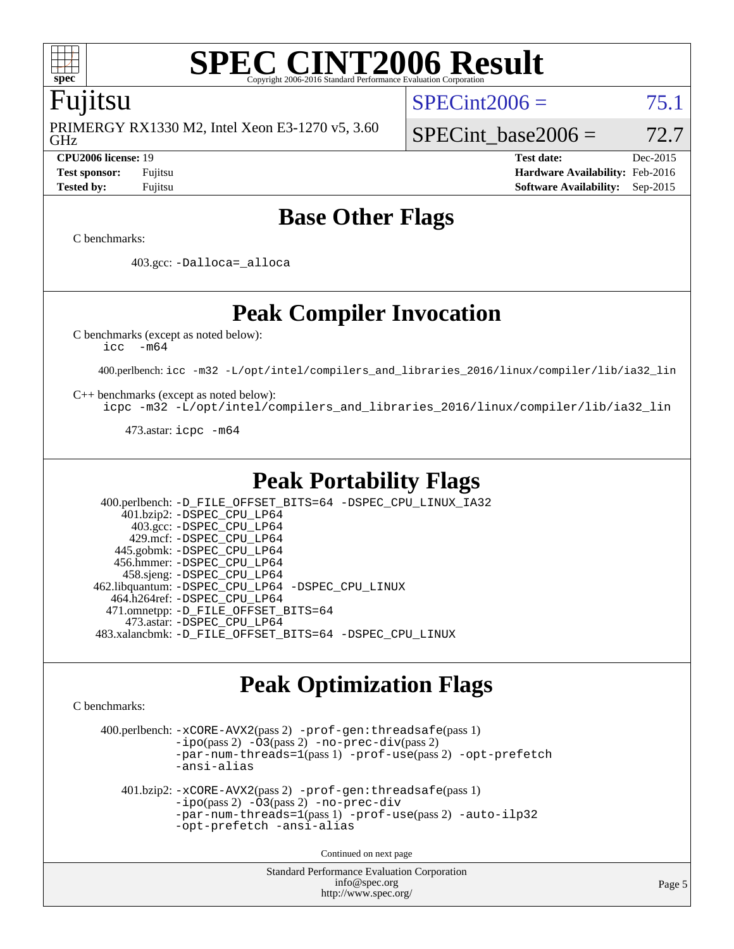

# Fujitsu

GHz PRIMERGY RX1330 M2, Intel Xeon E3-1270 v5, 3.60

 $SPECint2006 = 75.1$  $SPECint2006 = 75.1$ 

## SPECint base2006 =  $72.7$

**[CPU2006 license:](http://www.spec.org/auto/cpu2006/Docs/result-fields.html#CPU2006license)** 19 **[Test date:](http://www.spec.org/auto/cpu2006/Docs/result-fields.html#Testdate)** Dec-2015 **[Test sponsor:](http://www.spec.org/auto/cpu2006/Docs/result-fields.html#Testsponsor)** Fujitsu **[Hardware Availability:](http://www.spec.org/auto/cpu2006/Docs/result-fields.html#HardwareAvailability)** Feb-2016 **[Tested by:](http://www.spec.org/auto/cpu2006/Docs/result-fields.html#Testedby)** Fujitsu **[Software Availability:](http://www.spec.org/auto/cpu2006/Docs/result-fields.html#SoftwareAvailability)** Sep-2015

# **[Base Other Flags](http://www.spec.org/auto/cpu2006/Docs/result-fields.html#BaseOtherFlags)**

[C benchmarks](http://www.spec.org/auto/cpu2006/Docs/result-fields.html#Cbenchmarks):

403.gcc: [-Dalloca=\\_alloca](http://www.spec.org/cpu2006/results/res2016q1/cpu2006-20160111-38680.flags.html#b403.gcc_baseEXTRA_CFLAGS_Dalloca_be3056838c12de2578596ca5467af7f3)

**[Peak Compiler Invocation](http://www.spec.org/auto/cpu2006/Docs/result-fields.html#PeakCompilerInvocation)**

[C benchmarks \(except as noted below\)](http://www.spec.org/auto/cpu2006/Docs/result-fields.html#Cbenchmarksexceptasnotedbelow):

[icc -m64](http://www.spec.org/cpu2006/results/res2016q1/cpu2006-20160111-38680.flags.html#user_CCpeak_intel_icc_64bit_f346026e86af2a669e726fe758c88044)

400.perlbench: [icc -m32 -L/opt/intel/compilers\\_and\\_libraries\\_2016/linux/compiler/lib/ia32\\_lin](http://www.spec.org/cpu2006/results/res2016q1/cpu2006-20160111-38680.flags.html#user_peakCCLD400_perlbench_intel_icc_e10256ba5924b668798078a321b0cb3f)

[C++ benchmarks \(except as noted below\):](http://www.spec.org/auto/cpu2006/Docs/result-fields.html#CXXbenchmarksexceptasnotedbelow)

[icpc -m32 -L/opt/intel/compilers\\_and\\_libraries\\_2016/linux/compiler/lib/ia32\\_lin](http://www.spec.org/cpu2006/results/res2016q1/cpu2006-20160111-38680.flags.html#user_CXXpeak_intel_icpc_b4f50a394bdb4597aa5879c16bc3f5c5)

473.astar: [icpc -m64](http://www.spec.org/cpu2006/results/res2016q1/cpu2006-20160111-38680.flags.html#user_peakCXXLD473_astar_intel_icpc_64bit_fc66a5337ce925472a5c54ad6a0de310)

### **[Peak Portability Flags](http://www.spec.org/auto/cpu2006/Docs/result-fields.html#PeakPortabilityFlags)**

 400.perlbench: [-D\\_FILE\\_OFFSET\\_BITS=64](http://www.spec.org/cpu2006/results/res2016q1/cpu2006-20160111-38680.flags.html#user_peakPORTABILITY400_perlbench_file_offset_bits_64_438cf9856305ebd76870a2c6dc2689ab) [-DSPEC\\_CPU\\_LINUX\\_IA32](http://www.spec.org/cpu2006/results/res2016q1/cpu2006-20160111-38680.flags.html#b400.perlbench_peakCPORTABILITY_DSPEC_CPU_LINUX_IA32) 401.bzip2: [-DSPEC\\_CPU\\_LP64](http://www.spec.org/cpu2006/results/res2016q1/cpu2006-20160111-38680.flags.html#suite_peakPORTABILITY401_bzip2_DSPEC_CPU_LP64) 403.gcc: [-DSPEC\\_CPU\\_LP64](http://www.spec.org/cpu2006/results/res2016q1/cpu2006-20160111-38680.flags.html#suite_peakPORTABILITY403_gcc_DSPEC_CPU_LP64) 429.mcf: [-DSPEC\\_CPU\\_LP64](http://www.spec.org/cpu2006/results/res2016q1/cpu2006-20160111-38680.flags.html#suite_peakPORTABILITY429_mcf_DSPEC_CPU_LP64) 445.gobmk: [-DSPEC\\_CPU\\_LP64](http://www.spec.org/cpu2006/results/res2016q1/cpu2006-20160111-38680.flags.html#suite_peakPORTABILITY445_gobmk_DSPEC_CPU_LP64) 456.hmmer: [-DSPEC\\_CPU\\_LP64](http://www.spec.org/cpu2006/results/res2016q1/cpu2006-20160111-38680.flags.html#suite_peakPORTABILITY456_hmmer_DSPEC_CPU_LP64) 458.sjeng: [-DSPEC\\_CPU\\_LP64](http://www.spec.org/cpu2006/results/res2016q1/cpu2006-20160111-38680.flags.html#suite_peakPORTABILITY458_sjeng_DSPEC_CPU_LP64) 462.libquantum: [-DSPEC\\_CPU\\_LP64](http://www.spec.org/cpu2006/results/res2016q1/cpu2006-20160111-38680.flags.html#suite_peakPORTABILITY462_libquantum_DSPEC_CPU_LP64) [-DSPEC\\_CPU\\_LINUX](http://www.spec.org/cpu2006/results/res2016q1/cpu2006-20160111-38680.flags.html#b462.libquantum_peakCPORTABILITY_DSPEC_CPU_LINUX) 464.h264ref: [-DSPEC\\_CPU\\_LP64](http://www.spec.org/cpu2006/results/res2016q1/cpu2006-20160111-38680.flags.html#suite_peakPORTABILITY464_h264ref_DSPEC_CPU_LP64) 471.omnetpp: [-D\\_FILE\\_OFFSET\\_BITS=64](http://www.spec.org/cpu2006/results/res2016q1/cpu2006-20160111-38680.flags.html#user_peakPORTABILITY471_omnetpp_file_offset_bits_64_438cf9856305ebd76870a2c6dc2689ab) 473.astar: [-DSPEC\\_CPU\\_LP64](http://www.spec.org/cpu2006/results/res2016q1/cpu2006-20160111-38680.flags.html#suite_peakPORTABILITY473_astar_DSPEC_CPU_LP64) 483.xalancbmk: [-D\\_FILE\\_OFFSET\\_BITS=64](http://www.spec.org/cpu2006/results/res2016q1/cpu2006-20160111-38680.flags.html#user_peakPORTABILITY483_xalancbmk_file_offset_bits_64_438cf9856305ebd76870a2c6dc2689ab) [-DSPEC\\_CPU\\_LINUX](http://www.spec.org/cpu2006/results/res2016q1/cpu2006-20160111-38680.flags.html#b483.xalancbmk_peakCXXPORTABILITY_DSPEC_CPU_LINUX)

# **[Peak Optimization Flags](http://www.spec.org/auto/cpu2006/Docs/result-fields.html#PeakOptimizationFlags)**

[C benchmarks](http://www.spec.org/auto/cpu2006/Docs/result-fields.html#Cbenchmarks):

 400.perlbench: [-xCORE-AVX2](http://www.spec.org/cpu2006/results/res2016q1/cpu2006-20160111-38680.flags.html#user_peakPASS2_CFLAGSPASS2_LDCFLAGS400_perlbench_f-xAVX2_5f5fc0cbe2c9f62c816d3e45806c70d7)(pass 2) [-prof-gen:threadsafe](http://www.spec.org/cpu2006/results/res2016q1/cpu2006-20160111-38680.flags.html#user_peakPASS1_CFLAGSPASS1_LDCFLAGS400_perlbench_prof_gen_21a26eb79f378b550acd7bec9fe4467a)(pass 1)  $-i\text{po}(pass 2) -O3(pass 2)$  $-i\text{po}(pass 2) -O3(pass 2)$  $-i\text{po}(pass 2) -O3(pass 2)$  [-no-prec-div](http://www.spec.org/cpu2006/results/res2016q1/cpu2006-20160111-38680.flags.html#user_peakPASS2_CFLAGSPASS2_LDCFLAGS400_perlbench_f-no-prec-div)(pass 2) [-par-num-threads=1](http://www.spec.org/cpu2006/results/res2016q1/cpu2006-20160111-38680.flags.html#user_peakPASS1_CFLAGSPASS1_LDCFLAGS400_perlbench_par_num_threads_786a6ff141b4e9e90432e998842df6c2)(pass 1) [-prof-use](http://www.spec.org/cpu2006/results/res2016q1/cpu2006-20160111-38680.flags.html#user_peakPASS2_CFLAGSPASS2_LDCFLAGS400_perlbench_prof_use_bccf7792157ff70d64e32fe3e1250b55)(pass 2) [-opt-prefetch](http://www.spec.org/cpu2006/results/res2016q1/cpu2006-20160111-38680.flags.html#user_peakCOPTIMIZE400_perlbench_f-opt-prefetch) [-ansi-alias](http://www.spec.org/cpu2006/results/res2016q1/cpu2006-20160111-38680.flags.html#user_peakCOPTIMIZE400_perlbench_f-ansi-alias) 401.bzip2: [-xCORE-AVX2](http://www.spec.org/cpu2006/results/res2016q1/cpu2006-20160111-38680.flags.html#user_peakPASS2_CFLAGSPASS2_LDCFLAGS401_bzip2_f-xAVX2_5f5fc0cbe2c9f62c816d3e45806c70d7)(pass 2) [-prof-gen:threadsafe](http://www.spec.org/cpu2006/results/res2016q1/cpu2006-20160111-38680.flags.html#user_peakPASS1_CFLAGSPASS1_LDCFLAGS401_bzip2_prof_gen_21a26eb79f378b550acd7bec9fe4467a)(pass 1) [-ipo](http://www.spec.org/cpu2006/results/res2016q1/cpu2006-20160111-38680.flags.html#user_peakPASS2_CFLAGSPASS2_LDCFLAGS401_bzip2_f-ipo)(pass 2) [-O3](http://www.spec.org/cpu2006/results/res2016q1/cpu2006-20160111-38680.flags.html#user_peakPASS2_CFLAGSPASS2_LDCFLAGS401_bzip2_f-O3)(pass 2) [-no-prec-div](http://www.spec.org/cpu2006/results/res2016q1/cpu2006-20160111-38680.flags.html#user_peakCOPTIMIZEPASS2_CFLAGSPASS2_LDCFLAGS401_bzip2_f-no-prec-div) [-par-num-threads=1](http://www.spec.org/cpu2006/results/res2016q1/cpu2006-20160111-38680.flags.html#user_peakPASS1_CFLAGSPASS1_LDCFLAGS401_bzip2_par_num_threads_786a6ff141b4e9e90432e998842df6c2)(pass 1) [-prof-use](http://www.spec.org/cpu2006/results/res2016q1/cpu2006-20160111-38680.flags.html#user_peakPASS2_CFLAGSPASS2_LDCFLAGS401_bzip2_prof_use_bccf7792157ff70d64e32fe3e1250b55)(pass 2) [-auto-ilp32](http://www.spec.org/cpu2006/results/res2016q1/cpu2006-20160111-38680.flags.html#user_peakCOPTIMIZE401_bzip2_f-auto-ilp32) [-opt-prefetch](http://www.spec.org/cpu2006/results/res2016q1/cpu2006-20160111-38680.flags.html#user_peakCOPTIMIZE401_bzip2_f-opt-prefetch) [-ansi-alias](http://www.spec.org/cpu2006/results/res2016q1/cpu2006-20160111-38680.flags.html#user_peakCOPTIMIZE401_bzip2_f-ansi-alias)

Continued on next page

Standard Performance Evaluation Corporation [info@spec.org](mailto:info@spec.org) <http://www.spec.org/>

Page 5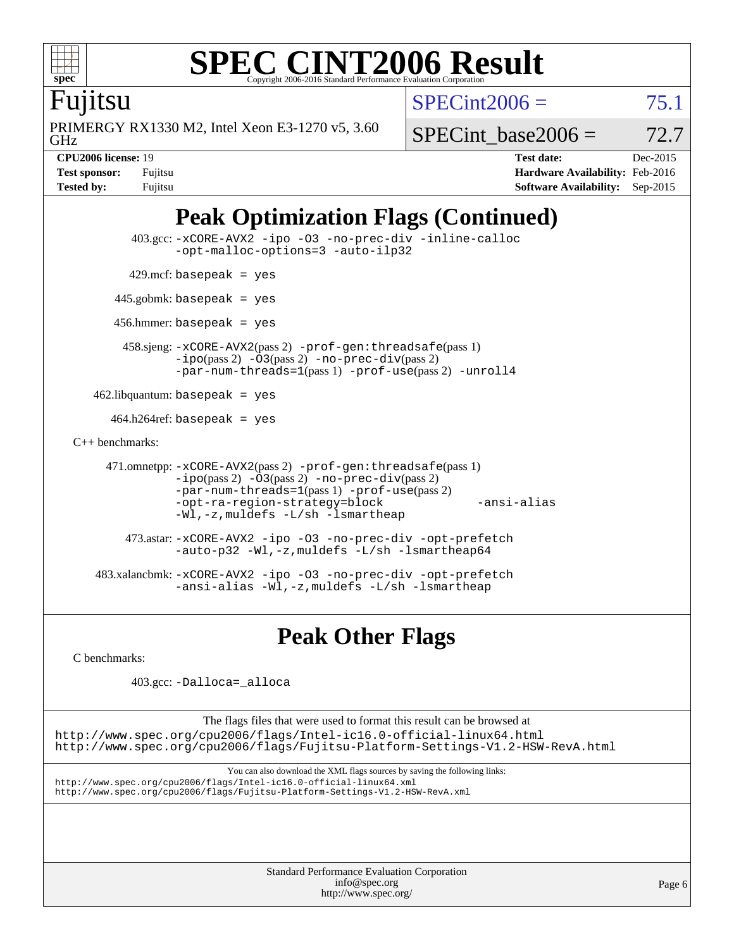

Fujitsu

GHz PRIMERGY RX1330 M2, Intel Xeon E3-1270 v5, 3.60  $SPECint2006 = 75.1$  $SPECint2006 = 75.1$ 

SPECint base2006 =  $72.7$ 

**[CPU2006 license:](http://www.spec.org/auto/cpu2006/Docs/result-fields.html#CPU2006license)** 19 **[Test date:](http://www.spec.org/auto/cpu2006/Docs/result-fields.html#Testdate)** Dec-2015 **[Test sponsor:](http://www.spec.org/auto/cpu2006/Docs/result-fields.html#Testsponsor)** Fujitsu **[Hardware Availability:](http://www.spec.org/auto/cpu2006/Docs/result-fields.html#HardwareAvailability)** Feb-2016 **[Tested by:](http://www.spec.org/auto/cpu2006/Docs/result-fields.html#Testedby)** Fujitsu **[Software Availability:](http://www.spec.org/auto/cpu2006/Docs/result-fields.html#SoftwareAvailability)** Sep-2015

# **[Peak Optimization Flags \(Continued\)](http://www.spec.org/auto/cpu2006/Docs/result-fields.html#PeakOptimizationFlags)**

```
 403.gcc: -xCORE-AVX2 -ipo -O3 -no-prec-div -inline-calloc
               -opt-malloc-options=3 -auto-ilp32
        429.mcf: basepeak = yes
      445.gobmk: basepeak = yes
       456.hmmer: basepeak = yes
        458.sjeng: -xCORE-AVX2(pass 2) -prof-gen:threadsafe(pass 1)
               -ipo(pass 2) -O3(pass 2) -no-prec-div(pass 2)
               -par-num-threads=1(pass 1) -prof-use(pass 2) -unroll4
    462.libquantum: basepeak = yes
     464.h264ref: basepeak = yes
C++ benchmarks: 
     471.omnetpp: -xCORE-AVX2(pass 2) -prof-gen:threadsafe(pass 1)
               -ipo(pass 2) -O3(pass 2) -no-prec-div(pass 2)
               -par-num-threads=1(pass 1) -prof-use(pass 2)
               -opt-ra-region-strategy=block -ansi-alias
               -Wl,-z,muldefs -L/sh -lsmartheap
         473.astar: -xCORE-AVX2 -ipo -O3 -no-prec-div -opt-prefetch
               -auto-p32 -Wl,-z,muldefs -L/sh -lsmartheap64
    483.xalancbmk: -xCORE-AVX2 -ipo -O3 -no-prec-div -opt-prefetch
               -ansi-alias -Wl,-z,muldefs -L/sh -lsmartheap
```
**[Peak Other Flags](http://www.spec.org/auto/cpu2006/Docs/result-fields.html#PeakOtherFlags)**

[C benchmarks](http://www.spec.org/auto/cpu2006/Docs/result-fields.html#Cbenchmarks):

403.gcc: [-Dalloca=\\_alloca](http://www.spec.org/cpu2006/results/res2016q1/cpu2006-20160111-38680.flags.html#b403.gcc_peakEXTRA_CFLAGS_Dalloca_be3056838c12de2578596ca5467af7f3)

The flags files that were used to format this result can be browsed at

<http://www.spec.org/cpu2006/flags/Intel-ic16.0-official-linux64.html> <http://www.spec.org/cpu2006/flags/Fujitsu-Platform-Settings-V1.2-HSW-RevA.html>

You can also download the XML flags sources by saving the following links: <http://www.spec.org/cpu2006/flags/Intel-ic16.0-official-linux64.xml> <http://www.spec.org/cpu2006/flags/Fujitsu-Platform-Settings-V1.2-HSW-RevA.xml>

> Standard Performance Evaluation Corporation [info@spec.org](mailto:info@spec.org) <http://www.spec.org/>

Page 6